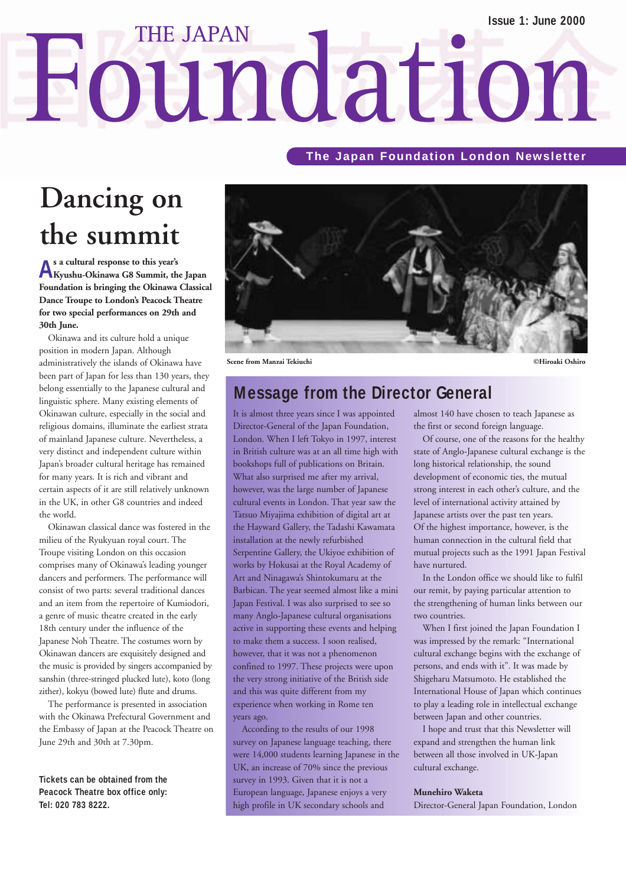# **THE JAPAN** Foundation

#### **The Japan Foundation London Newsletter**

### **Dancing on the summit**

**As a cultural response to this year's Kyushu-Okinawa G8 Summit, the Japan Foundation is bringing the Okinawa Classical Dance Troupe to London's Peacock Theatre for two special performances on 29th and 30th June.**

Okinawa and its culture hold a unique position in modern Japan. Although administratively the islands of Okinawa have been part of Japan for less than 130 years, they belong essentially to the Japanese cultural and linguistic sphere. Many existing elements of Okinawan culture, especially in the social and religious domains, illuminate the earliest strata of mainland Japanese culture. Nevertheless, a very distinct and independent culture within Japan's broader cultural heritage has remained for many years. It is rich and vibrant and certain aspects of it are still relatively unknown in the UK, in other G8 countries and indeed the world.

Okinawan classical dance was fostered in the milieu of the Ryukyuan royal court. The Troupe visiting London on this occasion comprises many of Okinawa's leading younger dancers and performers. The performance will consist of two parts: several traditional dances and an item from the repertoire of Kumiodori, a genre of music theatre created in the early 18th century under the influence of the Japanese Noh Theatre. The costumes worn by Okinawan dancers are exquisitely designed and the music is provided by singers accompanied by sanshin (three-stringed plucked lute), koto (long zither), kokyu (bowed lute) flute and drums.

The performance is presented in association with the Okinawa Prefectural Government and the Embassy of Japan at the Peacock Theatre on June 29th and 30th at 7.30pm.

**Tickets can be obtained from the Peacock Theatre box office only: Tel: 020 783 8222.** 



### **Message from the Director General**

It is almost three years since I was appointed Director-General of the Japan Foundation, London. When I left Tokyo in 1997, interest in British culture was at an all time high with bookshops full of publications on Britain. What also surprised me after my arrival, however, was the large number of Japanese cultural events in London. That year saw the Tatsuo Miyajima exhibition of digital art at the Hayward Gallery, the Tadashi Kawamata installation at the newly refurbished Serpentine Gallery, the Ukiyoe exhibition of works by Hokusai at the Royal Academy of Art and Ninagawa's Shintokumaru at the Barbican. The year seemed almost like a mini Japan Festival. I was also surprised to see so many Anglo-Japanese cultural organisations active in supporting these events and helping to make them a success. I soon realised, however, that it was not a phenomenon confined to 1997. These projects were upon the very strong initiative of the British side and this was quite different from my experience when working in Rome ten years ago.

According to the results of our 1998 survey on Japanese language teaching, there were 14,000 students learning Japanese in the UK, an increase of 70% since the previous survey in 1993. Given that it is not a European language, Japanese enjoys a very high profile in UK secondary schools and

almost 140 have chosen to teach Japanese as the first or second foreign language.

Of course, one of the reasons for the healthy state of Anglo-Japanese cultural exchange is the long historical relationship, the sound development of economic ties, the mutual strong interest in each other's culture, and the level of international activity attained by Japanese artists over the past ten years. Of the highest importance, however, is the human connection in the cultural field that mutual projects such as the 1991 Japan Festival have nurtured.

In the London office we should like to fulfil our remit, by paying particular attention to the strengthening of human links between our two countries.

When I first joined the Japan Foundation I was impressed by the remark: "International cultural exchange begins with the exchange of persons, and ends with it". It was made by Shigeharu Matsumoto. He established the International House of Japan which continues to play a leading role in intellectual exchange between Japan and other countries.

I hope and trust that this Newsletter will expand and strengthen the human link between all those involved in UK-Japan cultural exchange.

#### **Munehiro Waketa**

Director-General Japan Foundation, London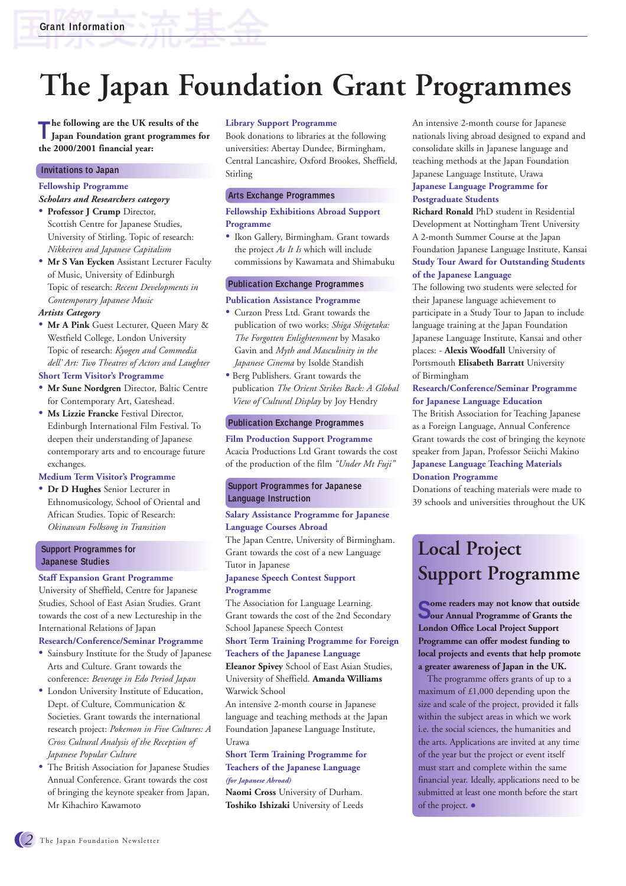# **The Japan Foundation Grant Programmes**

**The following are the UK results of the Japan Foundation grant programmes for the 2000/2001 financial year:** 

#### **Invitations to Japan**

#### **Fellowship Programme**

*Scholars and Researchers category*

- **Professor J Crump** Director, Scottish Centre for Japanese Studies, University of Stirling. Topic of research: *Nikkeiren and Japanese Capitalism*
- **Mr S Van Eycken** Assistant Lecturer Faculty of Music, University of Edinburgh Topic of research: *Recent Developments in Contemporary Japanese Music*

#### *Artists Category*

• **Mr A Pink** Guest Lecturer, Queen Mary & Westfield College, London University Topic of research: *Kyogen and Commedia dell' Art: Two Theatres of Actors and Laughter*

#### **Short Term Visitor's Programme**

- **Mr Sune Nordgren** Director, Baltic Centre for Contemporary Art, Gateshead.
- **Ms Lizzie Francke** Festival Director, Edinburgh International Film Festival. To deepen their understanding of Japanese contemporary arts and to encourage future exchanges.

#### **Medium Term Visitor's Programme**

• **Dr D Hughes** Senior Lecturer in Ethnomusicology, School of Oriental and African Studies. Topic of Research: *Okinawan Folksong in Transition*

#### **Support Programmes for Japanese Studies**

#### **Staff Expansion Grant Programme**

University of Sheffield, Centre for Japanese Studies, School of East Asian Studies. Grant towards the cost of a new Lectureship in the International Relations of Japan

#### **Research/Conference/Seminar Programme**

- Sainsbury Institute for the Study of Japanese Arts and Culture. Grant towards the conference: *Beverage in Edo Period Japan*
- London University Institute of Education, Dept. of Culture, Communication & Societies. Grant towards the international research project: *Pokemon in Five Cultures: A Cross Cultural Analysis of the Reception of Japanese Popular Culture*
- The British Association for Japanese Studies Annual Conference. Grant towards the cost of bringing the keynote speaker from Japan, Mr Kihachiro Kawamoto

#### **Library Support Programme**

Book donations to libraries at the following universities: Abertay Dundee, Birmingham, Central Lancashire, Oxford Brookes, Sheffield, Stirling

#### **Arts Exchange Programmes**

#### **Fellowship Exhibitions Abroad Support Programme**

• Ikon Gallery, Birmingham. Grant towards the project *As It Is* which will include commissions by Kawamata and Shimabuku

#### **Publication Exchange Programmes**

#### **Publication Assistance Programme**

- Curzon Press Ltd. Grant towards the publication of two works: *Shiga Shigetaka: The Forgotten Enlightenment* by Masako Gavin and *Myth and Masculinity in the Japanese Cinema* by Isolde Standish
- Berg Publishers. Grant towards the publication *The Orient Strikes Back: A Global View of Cultural Display* by Joy Hendry

#### **Publication Exchange Programmes**

**Film Production Support Programme** Acacia Productions Ltd Grant towards the cost of the production of the film *"Under Mt Fuji"*

#### **Support Programmes for Japanese Language Instruction**

#### **Salary Assistance Programme for Japanese Language Courses Abroad**

The Japan Centre, University of Birmingham. Grant towards the cost of a new Language Tutor in Japanese

#### **Japanese Speech Contest Support Programme**

The Association for Language Learning. Grant towards the cost of the 2nd Secondary School Japanese Speech Contest

#### **Short Term Training Programme for Foreign Teachers of the Japanese Language**

**Eleanor Spivey** School of East Asian Studies, University of Sheffield. **Amanda Williams** Warwick School

An intensive 2-month course in Japanese language and teaching methods at the Japan Foundation Japanese Language Institute, Urawa

#### **Short Term Training Programme for Teachers of the Japanese Language**  *(for Japanese Abroad)*

**Naomi Cross** University of Durham. **Toshiko Ishizaki** University of Leeds

An intensive 2-month course for Japanese nationals living abroad designed to expand and consolidate skills in Japanese language and teaching methods at the Japan Foundation Japanese Language Institute, Urawa **Japanese Language Programme for Postgraduate Students**

**Richard Ronald** PhD student in Residential Development at Nottingham Trent University A 2-month Summer Course at the Japan Foundation Japanese Language Institute, Kansai **Study Tour Award for Outstanding Students of the Japanese Language**

The following two students were selected for their Japanese language achievement to participate in a Study Tour to Japan to include language training at the Japan Foundation Japanese Language Institute, Kansai and other places: - **Alexis Woodfall** University of Portsmouth **Elisabeth Barratt** University of Birmingham

#### **Research/Conference/Seminar Programme for Japanese Language Education**

The British Association for Teaching Japanese as a Foreign Language, Annual Conference Grant towards the cost of bringing the keynote speaker from Japan, Professor Seiichi Makino **Japanese Language Teaching Materials Donation Programme**

Donations of teaching materials were made to 39 schools and universities throughout the UK

### **Local Project Support Programme**

**Some readers may not know that outside Sour Annual Programme of Grants the ome readers may not know that outside London Office Local Project Support Programme can offer modest funding to local projects and events that help promote a greater awareness of Japan in the UK.**

The programme offers grants of up to a maximum of  $£1,000$  depending upon the size and scale of the project, provided it falls within the subject areas in which we work i.e. the social sciences, the humanities and the arts. Applications are invited at any time of the year but the project or event itself must start and complete within the same financial year. Ideally, applications need to be submitted at least one month before the start of the project. •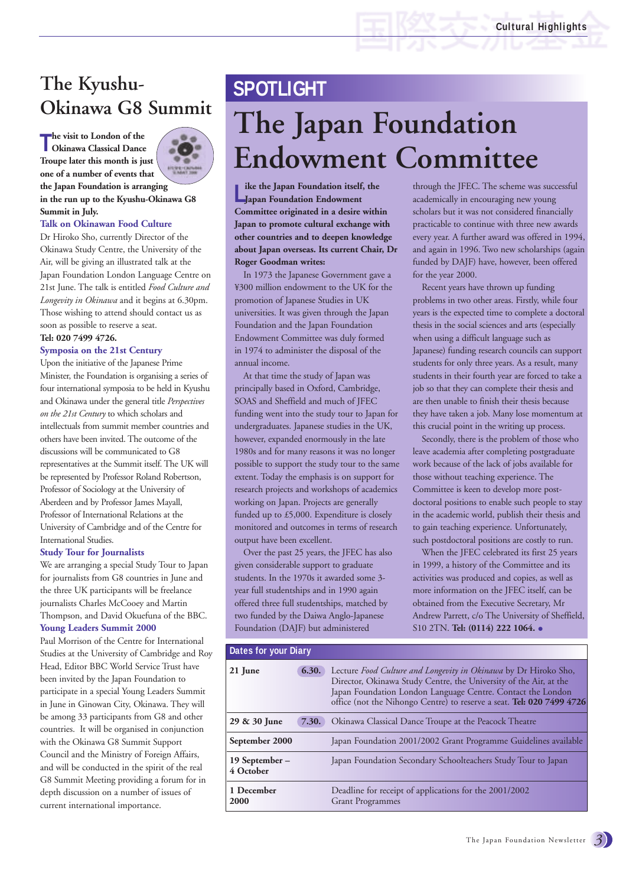### **The Kyushu- SPOTLIGHT Okinawa G8 Summit**

**T Okinawa Classical Dance he visit to London of the Troupe later this month is just one of a number of events that the Japan Foundation is arranging in the run up to the Kyushu-Okinawa G8 Summit in July.**

#### **Talk on Okinawan Food Culture**

Dr Hiroko Sho, currently Director of the Okinawa Study Centre, the University of the Air, will be giving an illustrated talk at the Japan Foundation London Language Centre on 21st June. The talk is entitled *Food Culture and Longevity in Okinawa* and it begins at 6.30pm. Those wishing to attend should contact us as soon as possible to reserve a seat.

#### **Tel: 020 7499 4726.**

#### **Symposia on the 21st Century**

Upon the initiative of the Japanese Prime Minister, the Foundation is organising a series of four international symposia to be held in Kyushu and Okinawa under the general title *Perspectives on the 21st Century* to which scholars and intellectuals from summit member countries and others have been invited. The outcome of the discussions will be communicated to G8 representatives at the Summit itself. The UK will be represented by Professor Roland Robertson, Professor of Sociology at the University of Aberdeen and by Professor James Mayall, Professor of International Relations at the University of Cambridge and of the Centre for International Studies.

#### **Study Tour for Journalists**

We are arranging a special Study Tour to Japan for journalists from G8 countries in June and the three UK participants will be freelance journalists Charles McCooey and Martin Thompson, and David Okuefuna of the BBC. **Young Leaders Summit 2000**

Paul Morrison of the Centre for International Studies at the University of Cambridge and Roy Head, Editor BBC World Service Trust have been invited by the Japan Foundation to participate in a special Young Leaders Summit in June in Ginowan City, Okinawa. They will be among 33 participants from G8 and other countries. It will be organised in conjunction with the Okinawa G8 Summit Support Council and the Ministry of Foreign Affairs, and will be conducted in the spirit of the real G8 Summit Meeting providing a forum for in depth discussion on a number of issues of current international importance.

# **The Japan Foundation Endowment Committee**

**L**<br> **L**<br> **L**<br> **Japan Foundation Endowment ike the Japan Foundation itself, the Committee originated in a desire within Japan to promote cultural exchange with other countries and to deepen knowledge about Japan overseas. Its current Chair, Dr Roger Goodman writes:**

In 1973 the Japanese Government gave a ¥300 million endowment to the UK for the promotion of Japanese Studies in UK universities. It was given through the Japan Foundation and the Japan Foundation Endowment Committee was duly formed in 1974 to administer the disposal of the annual income.

At that time the study of Japan was principally based in Oxford, Cambridge, SOAS and Sheffield and much of JFEC funding went into the study tour to Japan for undergraduates. Japanese studies in the UK, however, expanded enormously in the late 1980s and for many reasons it was no longer possible to support the study tour to the same extent. Today the emphasis is on support for research projects and workshops of academics working on Japan. Projects are generally funded up to £5,000. Expenditure is closely monitored and outcomes in terms of research output have been excellent.

Over the past 25 years, the JFEC has also given considerable support to graduate students. In the 1970s it awarded some 3 year full studentships and in 1990 again offered three full studentships, matched by two funded by the Daiwa Anglo-Japanese Foundation (DAJF) but administered

through the JFEC. The scheme was successful academically in encouraging new young scholars but it was not considered financially practicable to continue with three new awards every year. A further award was offered in 1994, and again in 1996. Two new scholarships (again funded by DAJF) have, however, been offered for the year 2000.

Recent years have thrown up funding problems in two other areas. Firstly, while four years is the expected time to complete a doctoral thesis in the social sciences and arts (especially when using a difficult language such as Japanese) funding research councils can support students for only three years. As a result, many students in their fourth year are forced to take a job so that they can complete their thesis and are then unable to finish their thesis because they have taken a job. Many lose momentum at this crucial point in the writing up process.

Secondly, there is the problem of those who leave academia after completing postgraduate work because of the lack of jobs available for those without teaching experience. The Committee is keen to develop more postdoctoral positions to enable such people to stay in the academic world, publish their thesis and to gain teaching experience. Unfortunately, such postdoctoral positions are costly to run.

When the JFEC celebrated its first 25 years in 1999, a history of the Committee and its activities was produced and copies, as well as more information on the JFEC itself, can be obtained from the Executive Secretary, Mr Andrew Parrett, c/o The University of Sheffield, S10 2TN. **Tel: (0114) 222 1064.** •

#### **Dates for your Diary**

| 21 June                     | 6.30. | Lecture Food Culture and Longevity in Okinawa by Dr Hiroko Sho,<br>Director, Okinawa Study Centre, the University of the Air, at the<br>Japan Foundation London Language Centre. Contact the London<br>office (not the Nihongo Centre) to reserve a seat. Tel: 020 7499 4726 |
|-----------------------------|-------|------------------------------------------------------------------------------------------------------------------------------------------------------------------------------------------------------------------------------------------------------------------------------|
| 29 & 30 June                | 7.30. | Okinawa Classical Dance Troupe at the Peacock Theatre                                                                                                                                                                                                                        |
| September 2000              |       | Japan Foundation 2001/2002 Grant Programme Guidelines available                                                                                                                                                                                                              |
| 19 September –<br>4 October |       | Japan Foundation Secondary Schoolteachers Study Tour to Japan                                                                                                                                                                                                                |
| 1 December<br>2000          |       | Deadline for receipt of applications for the 2001/2002<br><b>Grant Programmes</b>                                                                                                                                                                                            |